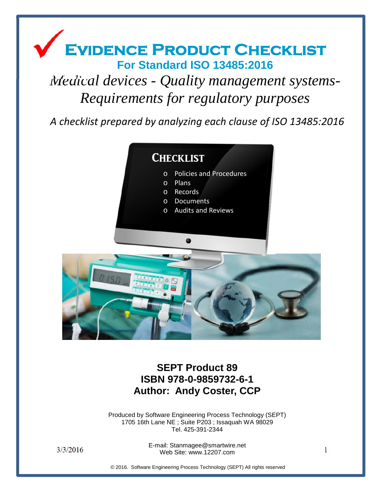## Evidence Product Checklist **For Standard ISO 13485:2016**

# *Medical devices - Quality management systems- Requirements for regulatory purposes*

*A checklist prepared by analyzing each clause of ISO 13485:2016*



**SEPT Product 89 ISBN 978-0-9859732-6-1 Author: Andy Coster, CCP**

Produced by Software Engineering Process Technology (SEPT) 1705 16th Lane NE ; Suite P203 ; Issaquah WA 98029 Tel. 425-391-2344

 $3/3/2016$  L mail. Old maggie estimative check<br>Web Site: www.12207.com E-mail: Stanmagee@smartwire.net

© 2016. Software Engineering Process Technology (SEPT) All rights reserved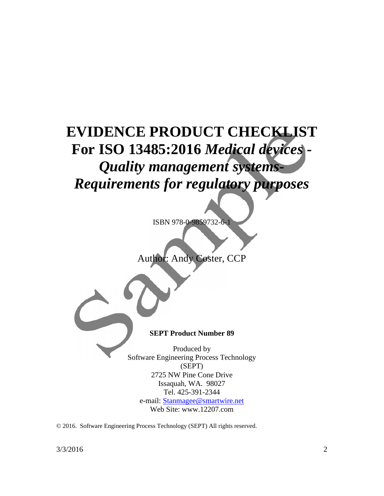# **EVIDENCE PRODUCT CHECKLIST For ISO 13485:2016** *Medical devices - Quality management systems- Requirements for regulatory purposes*

ISBN 978-0-9859732-6-1



**SEPT Product Number 89**

Produced by Software Engineering Process Technology (SEPT) 2725 NW Pine Cone Drive Issaquah, WA. 98027 Tel. 425-391-2344 e-mail: Stanmagee@smartwire.net Web Site: www.12207.com

© 2016. Software Engineering Process Technology (SEPT) All rights reserved.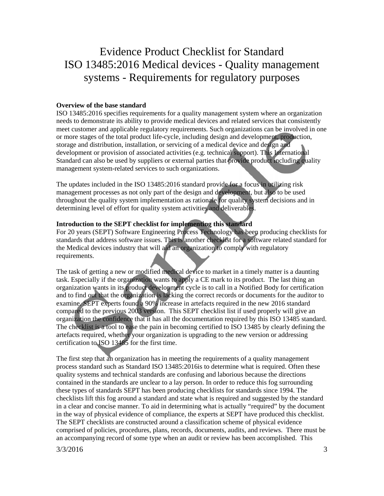### Evidence Product Checklist for Standard ISO 13485:2016 Medical devices - Quality management systems - Requirements for regulatory purposes

#### **Overview of the base standard**

ISO 13485:2016 specifies requirements for a quality management system where an organization needs to demonstrate its ability to provide medical devices and related services that consistently meet customer and applicable regulatory requirements. Such organizations can be involved in one or more stages of the total product life-cycle, including design and development, production, storage and distribution, installation, or servicing of a medical device and design and development or provision of associated activities (e.g. technical support). This International Standard can also be used by suppliers or external parties that provide product including quality management system-related services to such organizations.

The updates included in the ISO 13485:2016 standard provide for a focus in utilizing risk management processes as not only part of the design and development, but also to be used throughout the quality system implementation as rationale for quality system decisions and in determining level of effort for quality system activities and deliverables.

#### **Introduction to the SEPT checklist for implementing this standard**

For 20 years (SEPT) Software Engineering Process Technology has been producing checklists for standards that address software issues. This is another checklist for a software related standard for the Medical devices industry that will aid an organization to comply with regulatory requirements.

The task of getting a new or modified medical device to market in a timely matter is a daunting task. Especially if the organization wants to apply a CE mark to its product. The last thing an organization wants in its product development cycle is to call in a Notified Body for certification and to find out that the organization is lacking the correct records or documents for the auditor to examine. SEPT experts found a 90% increase in artefacts required in the new 2016 standard compared to the previous 2003 version. This SEPT checklist list if used properly will give an organization the confidence that it has all the documentation required by this ISO 13485 standard. The checklist is a tool to ease the pain in becoming certified to ISO 13485 by clearly defining the artefacts required, whether your organization is upgrading to the new version or addressing certification to ISO 13485 for the first time.

The first step that an organization has in meeting the requirements of a quality management process standard such as Standard ISO 13485:2016is to determine what is required. Often these quality systems and technical standards are confusing and laborious because the directions contained in the standards are unclear to a lay person. In order to reduce this fog surrounding these types of standards SEPT has been producing checklists for standards since 1994. The checklists lift this fog around a standard and state what is required and suggested by the standard in a clear and concise manner. To aid in determining what is actually "required" by the document in the way of physical evidence of compliance, the experts at SEPT have produced this checklist. The SEPT checklists are constructed around a classification scheme of physical evidence comprised of policies, procedures, plans, records, documents, audits, and reviews. There must be an accompanying record of some type when an audit or review has been accomplished. This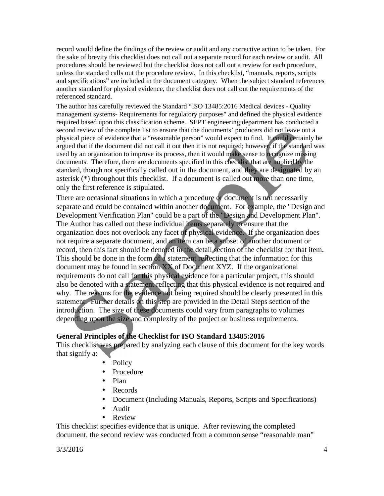record would define the findings of the review or audit and any corrective action to be taken. For the sake of brevity this checklist does not call out a separate record for each review or audit. All procedures should be reviewed but the checklist does not call out a review for each procedure, unless the standard calls out the procedure review. In this checklist, "manuals, reports, scripts and specifications" are included in the document category. When the subject standard references another standard for physical evidence, the checklist does not call out the requirements of the referenced standard.

The author has carefully reviewed the Standard "ISO 13485:2016 Medical devices - Quality management systems- Requirements for regulatory purposes" and defined the physical evidence required based upon this classification scheme. SEPT engineering department has conducted a second review of the complete list to ensure that the documents' producers did not leave out a physical piece of evidence that a "reasonable person" would expect to find. It could certainly be argued that if the document did not call it out then it is not required; however, if the standard was used by an organization to improve its process, then it would make sense to recognize missing documents. Therefore, there are documents specified in this checklist that are implied by the standard, though not specifically called out in the document, and they are designated by an asterisk (\*) throughout this checklist. If a document is called out more than one time, only the first reference is stipulated.

There are occasional situations in which a procedure or document is not necessarily separate and could be contained within another document. For example, the "Design and Development Verification Plan" could be a part of the "Design and Development Plan". The Author has called out these individual items separately to ensure that the organization does not overlook any facet of physical evidence. If the organization does not require a separate document, and an item can be a subset of another document or record, then this fact should be denoted in the detail section of the checklist for that item. This should be done in the form of a statement reflecting that the information for this document may be found in section XX of Document XYZ. If the organizational requirements do not call for this physical evidence for a particular project, this should also be denoted with a statement reflecting that this physical evidence is not required and why. The reasons for the evidence not being required should be clearly presented in this statement. Further details on this step are provided in the Detail Steps section of the introduction. The size of these documents could vary from paragraphs to volumes depending upon the size and complexity of the project or business requirements.

#### **General Principles of the Checklist for ISO Standard 13485:2016**

This checklist was prepared by analyzing each clause of this document for the key words that signify a:

- Policy
- Procedure
- Plan
- Records
- Document (Including Manuals, Reports, Scripts and Specifications)
- Audit
- Review

This checklist specifies evidence that is unique. After reviewing the completed document, the second review was conducted from a common sense "reasonable man"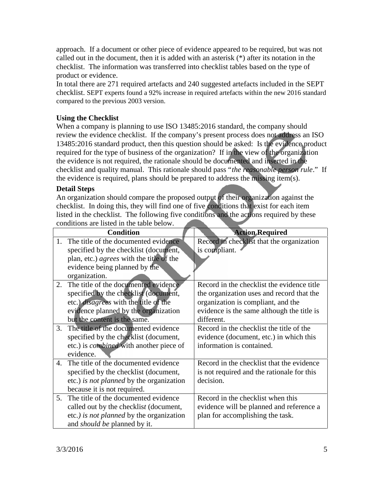approach. If a document or other piece of evidence appeared to be required, but was not called out in the document, then it is added with an asterisk (\*) after its notation in the checklist. The information was transferred into checklist tables based on the type of product or evidence.

In total there are 271 required artefacts and 240 suggested artefacts included in the SEPT checklist. SEPT experts found a 92% increase in required artefacts within the new 2016 standard compared to the previous 2003 version.

#### **Using the Checklist**

When a company is planning to use ISO 13485:2016 standard, the company should review the evidence checklist. If the company's present process does not address an ISO 13485:2016 standard product, then this question should be asked: Is the evidence product required for the type of business of the organization? If in the view of the organization the evidence is not required, the rationale should be documented and inserted in the checklist and quality manual. This rationale should pass "*the reasonable person rule*." If the evidence is required, plans should be prepared to address the missing item(s).

#### **Detail Steps**

An organization should compare the proposed output of their organization against the checklist. In doing this, they will find one of five conditions that exist for each item listed in the checklist. The following five conditions and the actions required by these conditions are listed in the table below.

|                | <b>Condition</b>                                | <b>Action Required</b>                     |
|----------------|-------------------------------------------------|--------------------------------------------|
| 1.             | The title of the documented evidence            | Record in checklist that the organization  |
|                | specified by the checklist (document,           | is compliant.                              |
|                | plan, etc.) <i>agrees</i> with the title of the |                                            |
|                | evidence being planned by the                   |                                            |
|                | organization.                                   |                                            |
| 2.             | The title of the documented evidence            | Record in the checklist the evidence title |
|                | specified by the checklist (document,           | the organization uses and record that the  |
|                | etc.) <i>disagrees</i> with the title of the    | organization is compliant, and the         |
|                | evidence planned by the organization            | evidence is the same although the title is |
|                | but the content is the same.                    | different.                                 |
| 3.             | The title of the documented evidence            | Record in the checklist the title of the   |
|                | specified by the checklist (document,           | evidence (document, etc.) in which this    |
|                | etc.) is <i>combined</i> with another piece of  | information is contained.                  |
|                | evidence.                                       |                                            |
| $\mathbf{4}$ . | The title of the documented evidence            | Record in the checklist that the evidence  |
|                | specified by the checklist (document,           | is not required and the rationale for this |
|                | etc.) is not planned by the organization        | decision.                                  |
|                | because it is not required.                     |                                            |
| 5 <sub>1</sub> | The title of the documented evidence            | Record in the checklist when this          |
|                | called out by the checklist (document,          | evidence will be planned and reference a   |
|                | etc.) is not planned by the organization        | plan for accomplishing the task.           |
|                | and <i>should be</i> planned by it.             |                                            |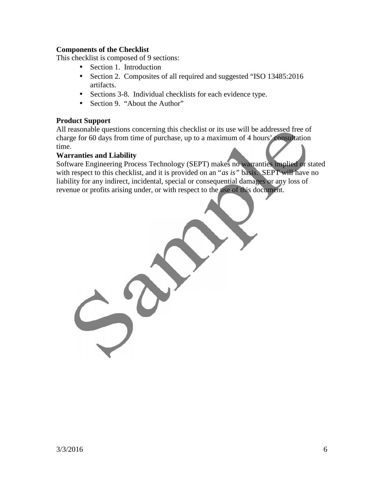#### **Components of the Checklist**

This checklist is composed of 9 sections:

- Section 1. Introduction
- Section 2. Composites of all required and suggested "ISO 13485:2016 artifacts.
- Sections 3-8. Individual checklists for each evidence type.
- Section 9. "About the Author"

#### **Product Support**

All reasonable questions concerning this checklist or its use will be addressed free of charge for 60 days from time of purchase, up to a maximum of 4 hours' consultation time.

#### **Warranties and Liability**

Software Engineering Process Technology (SEPT) makes no warranties implied or stated with respect to this checklist, and it is provided on an "*as is"* basis. SEPT will have no liability for any indirect, incidental, special or consequential damages or any loss of revenue or profits arising under, or with respect to the use of this document.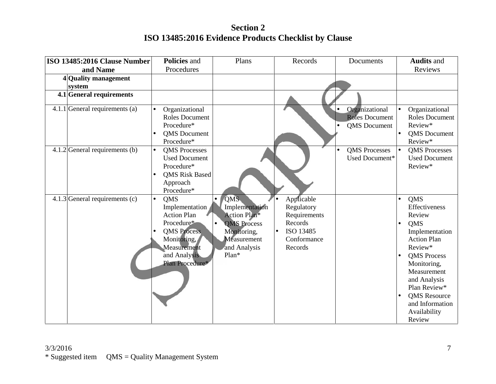### **Section 2 ISO 13485:2016 Evidence Products Checklist by Clause**

| ISO 13485:2016 Clause Number     | Policies and                                                                                                                                                         | Plans                                                                                                                     | Records                                                                                                 | Documents                                                      | <b>Audits and</b>                                                                                                                                                                                                                                |
|----------------------------------|----------------------------------------------------------------------------------------------------------------------------------------------------------------------|---------------------------------------------------------------------------------------------------------------------------|---------------------------------------------------------------------------------------------------------|----------------------------------------------------------------|--------------------------------------------------------------------------------------------------------------------------------------------------------------------------------------------------------------------------------------------------|
| and Name                         | Procedures                                                                                                                                                           |                                                                                                                           |                                                                                                         |                                                                | Reviews                                                                                                                                                                                                                                          |
| 4 Quality management<br>system   |                                                                                                                                                                      |                                                                                                                           |                                                                                                         |                                                                |                                                                                                                                                                                                                                                  |
| $4.1$ General requirements       |                                                                                                                                                                      |                                                                                                                           |                                                                                                         |                                                                |                                                                                                                                                                                                                                                  |
| 4.1.1 General requirements (a)   | Organizational<br>$\bullet$<br><b>Roles Document</b><br>Procedure*<br><b>QMS</b> Document<br>Procedure*                                                              |                                                                                                                           |                                                                                                         | Organizational<br><b>Roles Document</b><br><b>QMS</b> Document | Organizational<br>Roles Document<br>Review*<br><b>QMS</b> Document<br>Review*                                                                                                                                                                    |
| $4.1.2$ General requirements (b) | <b>OMS</b> Processes<br>$\bullet$<br><b>Used Document</b><br>Procedure*<br><b>QMS Risk Based</b><br>Approach<br>Procedure*                                           |                                                                                                                           |                                                                                                         | <b>OMS</b> Processes<br>$\bullet$<br>Used Document*            | <b>QMS</b> Processes<br><b>Used Document</b><br>Review*                                                                                                                                                                                          |
| 4.1.3 General requirements $(c)$ | <b>QMS</b><br>$\bullet$<br>Implementation<br><b>Action Plan</b><br>Procedure*<br><b>QMS</b> Process<br>Monitoring,<br>Measurement<br>and Analysis<br>Plan Procedure* | <b>QMS</b><br>Implementation<br>Action Plan*<br><b>QMS</b> Process<br>Monitoring,<br>Measurement<br>and Analysis<br>Plan* | Applicable<br>Regulatory<br>Requirements<br>Records<br>ISO 13485<br>$\bullet$<br>Conformance<br>Records | $\bullet$<br>$\bullet$                                         | QMS<br>Effectiveness<br>Review<br>QMS<br>Implementation<br><b>Action Plan</b><br>Review*<br><b>QMS</b> Process<br>Monitoring,<br>Measurement<br>and Analysis<br>Plan Review*<br><b>QMS</b> Resource<br>and Information<br>Availability<br>Review |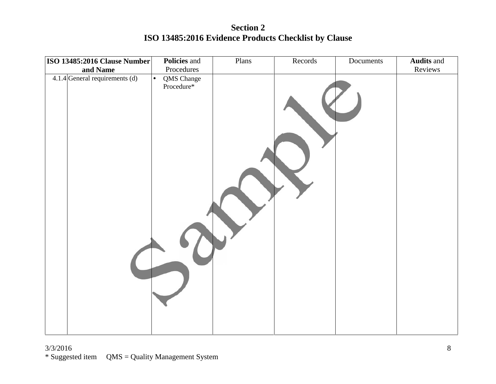**Section 2 ISO 13485:2016 Evidence Products Checklist by Clause**

| ISO 13485:2016 Clause Number     |           | Policies and             | Plans | Records | Documents | <b>Audits</b> and |
|----------------------------------|-----------|--------------------------|-------|---------|-----------|-------------------|
| and Name                         |           | Procedures               |       |         |           | Reviews           |
| $4.1.4$ General requirements (d) | $\bullet$ | QMS Change<br>Procedure* |       |         |           |                   |
|                                  |           |                          |       |         |           |                   |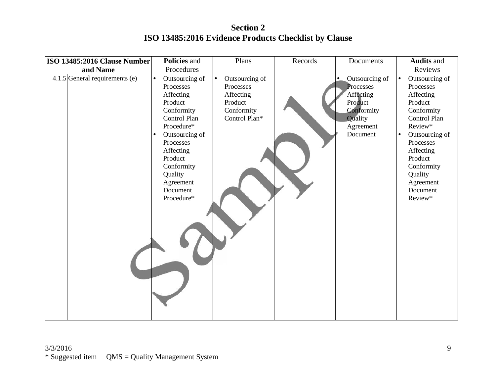**Section 2 ISO 13485:2016 Evidence Products Checklist by Clause**

| ISO 13485:2016 Clause Number     | Policies and                                                                                                                                                                                                                                                  | Plans                                                                              | Records | Documents                                                                                                          | <b>Audits and</b>                                                                                                                                                                                                                          |
|----------------------------------|---------------------------------------------------------------------------------------------------------------------------------------------------------------------------------------------------------------------------------------------------------------|------------------------------------------------------------------------------------|---------|--------------------------------------------------------------------------------------------------------------------|--------------------------------------------------------------------------------------------------------------------------------------------------------------------------------------------------------------------------------------------|
| and Name                         | Procedures                                                                                                                                                                                                                                                    |                                                                                    |         |                                                                                                                    | Reviews                                                                                                                                                                                                                                    |
| $4.1.5$ General requirements (e) | Outsourcing of<br>$\bullet$<br>$\bullet$<br>Processes<br>Affecting<br>Product<br>Conformity<br>Control Plan<br>Procedure*<br>Outsourcing of<br>$\bullet$<br>Processes<br>Affecting<br>Product<br>Conformity<br>Quality<br>Agreement<br>Document<br>Procedure* | Outsourcing of<br>Processes<br>Affecting<br>Product<br>Conformity<br>Control Plan* |         | Outsourcing of<br>$\bullet$<br>Processes<br>Affecting<br>Product<br>Conformity<br>Quality<br>Agreement<br>Document | Outsourcing of<br>$\bullet$<br>Processes<br>Affecting<br>Product<br>Conformity<br>Control Plan<br>Review*<br>Outsourcing of<br>$\bullet$<br>Processes<br>Affecting<br>Product<br>Conformity<br>Quality<br>Agreement<br>Document<br>Review* |